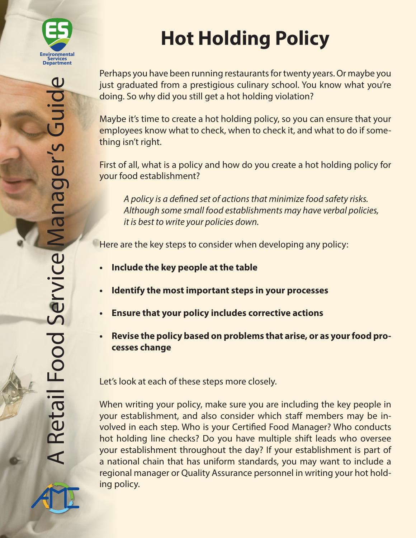

# **Hot Holding Policy**

Perhaps you have been running restaurants for twenty years. Or maybe you just graduated from a prestigious culinary school. You know what you're doing. So why did you still get a hot holding violation?

Maybe it's time to create a hot holding policy, so you can ensure that your employees know what to check, when to check it, and what to do if something isn't right.

First of all, what is a policy and how do you create a hot holding policy for your food establishment?

*A policy is a defined set of actions that minimize food safety risks. Although some small food establishments may have verbal policies, it is best to write your policies down.*

Here are the key steps to consider when developing any policy:

- **• Include the key people at the table**
- **• Identify the most important steps in your processes**
- **• Ensure that your policy includes corrective actions**
- **• Revise the policy based on problems that arise, or as your food processes change**

Let's look at each of these steps more closely.

When writing your policy, make sure you are including the key people in your establishment, and also consider which staff members may be involved in each step. Who is your Certified Food Manager? Who conducts hot holding line checks? Do you have multiple shift leads who oversee your establishment throughout the day? If your establishment is part of a national chain that has uniform standards, you may want to include a regional manager or Quality Assurance personnel in writing your hot holding policy.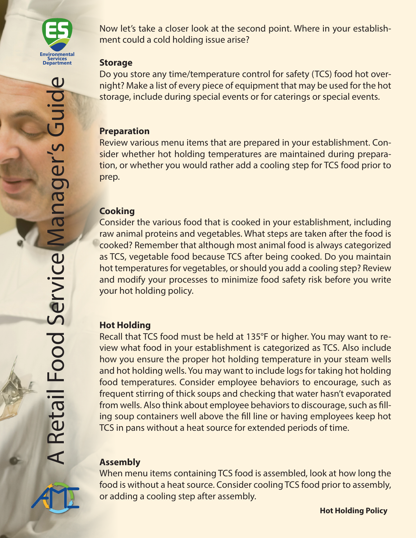

Now let's take a closer look at the second point. Where in your establishment could a cold holding issue arise?

#### **Storage**

Do you store any time/temperature control for safety (TCS) food hot overnight? Make a list of every piece of equipment that may be used for the hot storage, include during special events or for caterings or special events.

#### **Preparation**

Review various menu items that are prepared in your establishment. Consider whether hot holding temperatures are maintained during preparation, or whether you would rather add a cooling step for TCS food prior to prep.

#### **Cooking**

Consider the various food that is cooked in your establishment, including raw animal proteins and vegetables. What steps are taken after the food is cooked? Remember that although most animal food is always categorized as TCS, vegetable food because TCS after being cooked. Do you maintain hot temperatures for vegetables, or should you add a cooling step? Review and modify your processes to minimize food safety risk before you write your hot holding policy.

## **Hot Holding**

Recall that TCS food must be held at 135°F or higher. You may want to review what food in your establishment is categorized as TCS. Also include how you ensure the proper hot holding temperature in your steam wells and hot holding wells. You may want to include logs for taking hot holding food temperatures. Consider employee behaviors to encourage, such as frequent stirring of thick soups and checking that water hasn't evaporated from wells. Also think about employee behaviors to discourage, such as filling soup containers well above the fill line or having employees keep hot TCS in pans without a heat source for extended periods of time.

# **Assembly**

When menu items containing TCS food is assembled, look at how long the food is without a heat source. Consider cooling TCS food prior to assembly, or adding a cooling step after assembly.

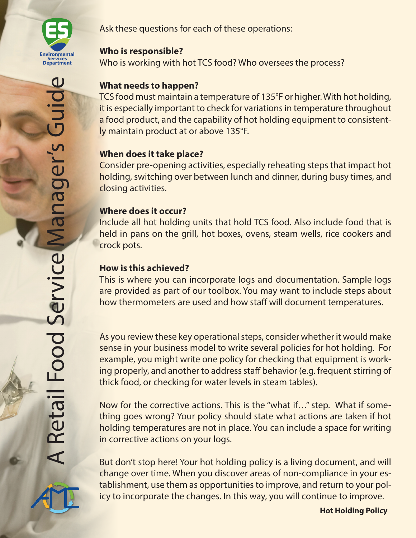

#### **Who is responsible?**

Who is working with hot TCS food? Who oversees the process?

# **What needs to happen?**

TCS food must maintain a temperature of 135°F or higher. With hot holding, it is especially important to check for variations in temperature throughout a food product, and the capability of hot holding equipment to consistently maintain product at or above 135°F.

# **When does it take place?**

Consider pre-opening activities, especially reheating steps that impact hot holding, switching over between lunch and dinner, during busy times, and closing activities.

## **Where does it occur?**

Include all hot holding units that hold TCS food. Also include food that is held in pans on the grill, hot boxes, ovens, steam wells, rice cookers and crock pots.

## **How is this achieved?**

This is where you can incorporate logs and documentation. Sample logs are provided as part of our toolbox. You may want to include steps about how thermometers are used and how staff will document temperatures.

As you review these key operational steps, consider whether it would make sense in your business model to write several policies for hot holding. For example, you might write one policy for checking that equipment is working properly, and another to address staff behavior (e.g. frequent stirring of thick food, or checking for water levels in steam tables).

Now for the corrective actions. This is the "what if…" step. What if something goes wrong? Your policy should state what actions are taken if hot holding temperatures are not in place. You can include a space for writing in corrective actions on your logs.

But don't stop here! Your hot holding policy is a living document, and will change over time. When you discover areas of non-compliance in your establishment, use them as opportunities to improve, and return to your policy to incorporate the changes. In this way, you will continue to improve.



**Hot Holding Policy**